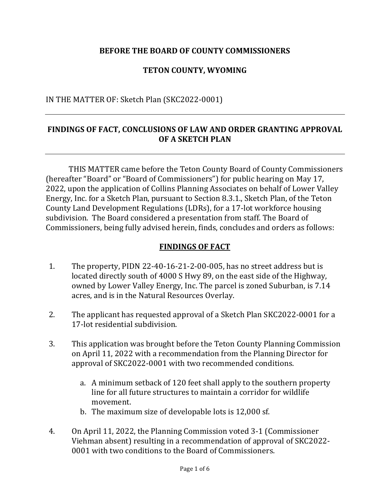## **BEFORE THE BOARD OF COUNTY COMMISSIONERS**

## **TETON COUNTY, WYOMING**

### IN THE MATTER OF: Sketch Plan (SKC2022-0001)

### **FINDINGS OF FACT, CONCLUSIONS OF LAW AND ORDER GRANTING APPROVAL OF A SKETCH PLAN**

THIS MATTER came before the Teton County Board of County Commissioners (hereafter "Board" or "Board of Commissioners") for public hearing on May 17, 2022, upon the application of Collins Planning Associates on behalf of Lower Valley Energy, Inc. for a Sketch Plan, pursuant to Section 8.3.1., Sketch Plan, of the Teton County Land Development Regulations (LDRs), for a 17-lot workforce housing subdivision. The Board considered a presentation from staff. The Board of Commissioners, being fully advised herein, finds, concludes and orders as follows:

#### **FINDINGS OF FACT**

- 1. The property, PIDN 22-40-16-21-2-00-005, has no street address but is located directly south of 4000 S Hwy 89, on the east side of the Highway, owned by Lower Valley Energy, Inc. The parcel is zoned Suburban, is 7.14 acres, and is in the Natural Resources Overlay.
- 2. The applicant has requested approval of a Sketch Plan SKC2022-0001 for a 17-lot residential subdivision.
- 3. This application was brought before the Teton County Planning Commission on April 11, 2022 with a recommendation from the Planning Director for approval of SKC2022-0001 with two recommended conditions.
	- a. A minimum setback of 120 feet shall apply to the southern property line for all future structures to maintain a corridor for wildlife movement.
	- b. The maximum size of developable lots is 12,000 sf.
- 4. On April 11, 2022, the Planning Commission voted 3-1 (Commissioner Viehman absent) resulting in a recommendation of approval of SKC2022- 0001 with two conditions to the Board of Commissioners.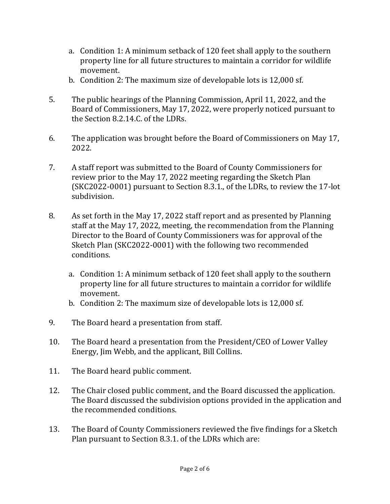- a. Condition 1: A minimum setback of 120 feet shall apply to the southern property line for all future structures to maintain a corridor for wildlife movement.
- b. Condition 2: The maximum size of developable lots is 12,000 sf.
- 5. The public hearings of the Planning Commission, April 11, 2022, and the Board of Commissioners, May 17, 2022, were properly noticed pursuant to the Section 8.2.14.C. of the LDRs.
- 6. The application was brought before the Board of Commissioners on May 17, 2022.
- 7. A staff report was submitted to the Board of County Commissioners for review prior to the May 17, 2022 meeting regarding the Sketch Plan (SKC2022-0001) pursuant to Section 8.3.1., of the LDRs, to review the 17-lot subdivision.
- 8. As set forth in the May 17, 2022 staff report and as presented by Planning staff at the May 17, 2022, meeting, the recommendation from the Planning Director to the Board of County Commissioners was for approval of the Sketch Plan (SKC2022-0001) with the following two recommended conditions.
	- a. Condition 1: A minimum setback of 120 feet shall apply to the southern property line for all future structures to maintain a corridor for wildlife movement.
	- b. Condition 2: The maximum size of developable lots is 12,000 sf.
- 9. The Board heard a presentation from staff.
- 10. The Board heard a presentation from the President/CEO of Lower Valley Energy, Jim Webb, and the applicant, Bill Collins.
- 11. The Board heard public comment.
- 12. The Chair closed public comment, and the Board discussed the application. The Board discussed the subdivision options provided in the application and the recommended conditions.
- 13. The Board of County Commissioners reviewed the five findings for a Sketch Plan pursuant to Section 8.3.1. of the LDRs which are: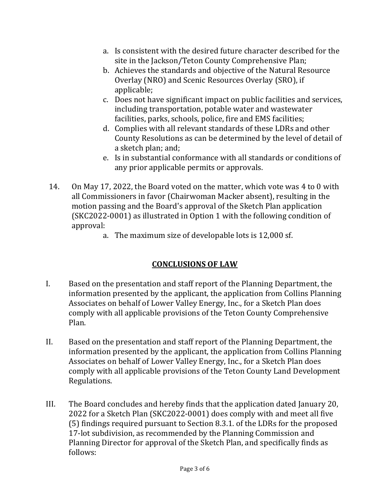- a. Is consistent with the desired future character described for the site in the Jackson/Teton County Comprehensive Plan;
- b. Achieves the standards and objective of the Natural Resource Overlay (NRO) and Scenic Resources Overlay (SRO), if applicable;
- c. Does not have significant impact on public facilities and services, including transportation, potable water and wastewater facilities, parks, schools, police, fire and EMS facilities;
- d. Complies with all relevant standards of these LDRs and other County Resolutions as can be determined by the level of detail of a sketch plan; and;
- e. Is in substantial conformance with all standards or conditions of any prior applicable permits or approvals.
- 14. On May 17, 2022, the Board voted on the matter, which vote was 4 to 0 with all Commissioners in favor (Chairwoman Macker absent), resulting in the motion passing and the Board's approval of the Sketch Plan application (SKC2022-0001) as illustrated in Option 1 with the following condition of approval:
	- a. The maximum size of developable lots is 12,000 sf.

# **CONCLUSIONS OF LAW**

- I. Based on the presentation and staff report of the Planning Department, the information presented by the applicant, the application from Collins Planning Associates on behalf of Lower Valley Energy, Inc., for a Sketch Plan does comply with all applicable provisions of the Teton County Comprehensive Plan.
- II. Based on the presentation and staff report of the Planning Department, the information presented by the applicant, the application from Collins Planning Associates on behalf of Lower Valley Energy, Inc., for a Sketch Plan does comply with all applicable provisions of the Teton County Land Development Regulations.
- III. The Board concludes and hereby finds that the application dated January 20, 2022 for a Sketch Plan (SKC2022-0001) does comply with and meet all five (5) findings required pursuant to Section 8.3.1. of the LDRs for the proposed 17-lot subdivision, as recommended by the Planning Commission and Planning Director for approval of the Sketch Plan, and specifically finds as follows: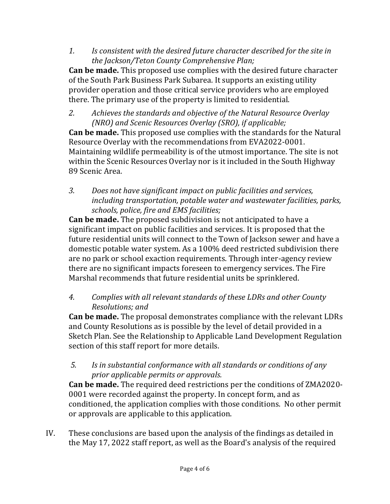*1. Is consistent with the desired future character described for the site in the Jackson/Teton County Comprehensive Plan;*

**Can be made.** This proposed use complies with the desired future character of the South Park Business Park Subarea. It supports an existing utility provider operation and those critical service providers who are employed there. The primary use of the property is limited to residential.

*2. Achieves the standards and objective of the Natural Resource Overlay (NRO) and Scenic Resources Overlay (SRO), if applicable;*

**Can be made.** This proposed use complies with the standards for the Natural Resource Overlay with the recommendations from EVA2022-0001. Maintaining wildlife permeability is of the utmost importance. The site is not within the Scenic Resources Overlay nor is it included in the South Highway 89 Scenic Area.

*3. Does not have significant impact on public facilities and services, including transportation, potable water and wastewater facilities, parks, schools, police, fire and EMS facilities;*

**Can be made.** The proposed subdivision is not anticipated to have a significant impact on public facilities and services. It is proposed that the future residential units will connect to the Town of Jackson sewer and have a domestic potable water system. As a 100% deed restricted subdivision there are no park or school exaction requirements. Through inter-agency review there are no significant impacts foreseen to emergency services. The Fire Marshal recommends that future residential units be sprinklered.

*4. Complies with all relevant standards of these LDRs and other County Resolutions; and*

**Can be made.** The proposal demonstrates compliance with the relevant LDRs and County Resolutions as is possible by the level of detail provided in a Sketch Plan. See the Relationship to Applicable Land Development Regulation section of this staff report for more details.

## *5. Is in substantial conformance with all standards or conditions of any prior applicable permits or approvals.*

**Can be made.** The required deed restrictions per the conditions of ZMA2020- 0001 were recorded against the property. In concept form, and as conditioned, the application complies with those conditions. No other permit or approvals are applicable to this application.

IV. These conclusions are based upon the analysis of the findings as detailed in the May 17, 2022 staff report, as well as the Board's analysis of the required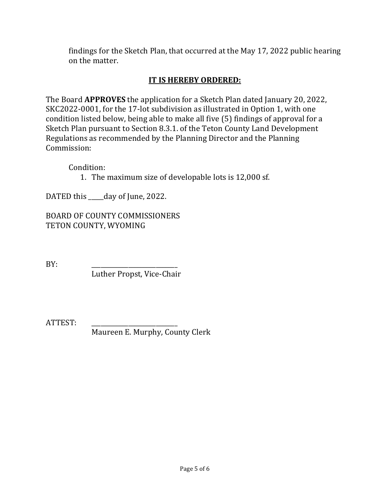findings for the Sketch Plan, that occurred at the May 17, 2022 public hearing on the matter.

## **IT IS HEREBY ORDERED:**

The Board **APPROVES** the application for a Sketch Plan dated January 20, 2022, SKC2022-0001, for the 17-lot subdivision as illustrated in Option 1, with one condition listed below, being able to make all five (5) findings of approval for a Sketch Plan pursuant to Section 8.3.1. of the Teton County Land Development Regulations as recommended by the Planning Director and the Planning Commission:

Condition:

1. The maximum size of developable lots is 12,000 sf.

DATED this \_\_\_\_\_day of June, 2022.

BOARD OF COUNTY COMMISSIONERS TETON COUNTY, WYOMING

BY: \_\_\_\_\_\_\_\_\_\_\_\_\_\_\_\_\_\_\_\_\_\_\_\_\_\_\_\_

Luther Propst, Vice-Chair

ATTEST: \_\_\_\_\_\_\_\_\_\_\_\_\_\_\_\_\_\_\_\_\_\_\_\_\_\_\_\_

Maureen E. Murphy, County Clerk